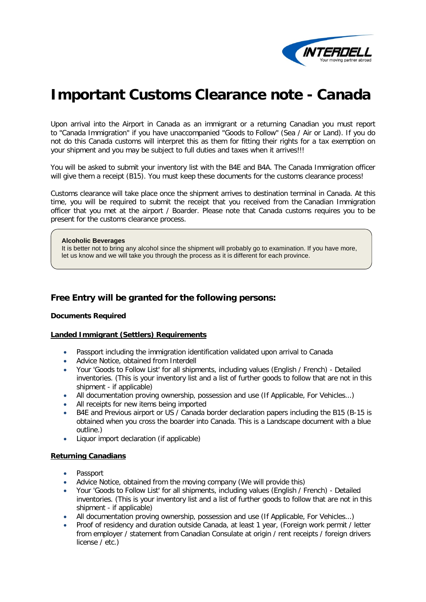

# **Important Customs Clearance note - Canada**

Upon arrival into the Airport in Canada as an immigrant or a returning Canadian you must report to "Canada Immigration" if you have unaccompanied "Goods to Follow" (Sea / Air or Land). If you do not do this Canada customs will interpret this as them for fitting their rights for a tax exemption on your shipment and you may be subject to full duties and taxes when it arrives!!!

You will be asked to submit your inventory list with the B4E and B4A. The Canada Immigration officer will give them a receipt (B15). You must keep these documents for the customs clearance process!

Customs clearance will take place once the shipment arrives to destination terminal in Canada. At this time, you will be required to submit the receipt that you received from the Canadian Immigration officer that you met at the airport / Boarder. Please note that Canada customs requires you to be present for the customs clearance process.

#### **Alcoholic Beverages**

It is better not to bring any alcohol since the shipment will probably go to examination. If you have more, let us know and we will take you through the process as it is different for each province.

# **Free Entry will be granted for the following persons:**

# **Documents Required**

# **Landed Immigrant (Settlers) Requirements**

- Passport including the immigration identification validated upon arrival to Canada
- Advice Notice, obtained from Interdell
- Your 'Goods to Follow List' for all shipments, including values (English / French) Detailed inventories. (This is your inventory list and a list of further goods to follow that are not in this shipment - if applicable)
- All documentation proving ownership, possession and use (If Applicable, For Vehicles...)
- All receipts for new items being imported
- B4E and Previous airport or US / Canada border declaration papers including the B15 (B-15 is obtained when you cross the boarder into Canada. This is a Landscape document with a blue outline.)
- Liquor import declaration (if applicable)

# **Returning Canadians**

- Passport
- Advice Notice, obtained from the moving company (We will provide this)
- Your 'Goods to Follow List' for all shipments, including values (English / French) Detailed inventories. (This is your inventory list and a list of further goods to follow that are not in this shipment - if applicable)
- All documentation proving ownership, possession and use (If Applicable, For Vehicles...)
- Proof of residency and duration outside Canada, at least 1 year, (Foreign work permit / letter from employer / statement from Canadian Consulate at origin / rent receipts / foreign drivers license / etc.)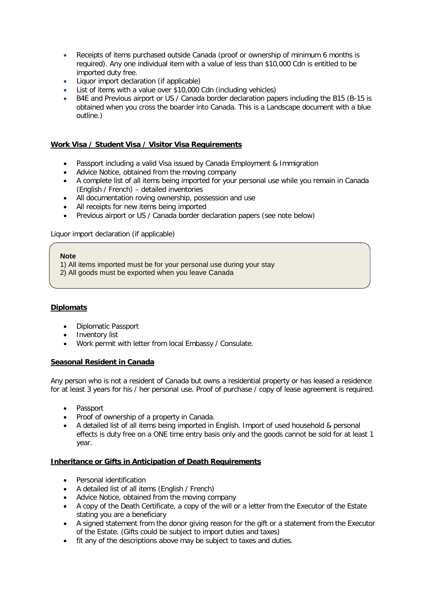- Receipts of items purchased outside Canada (proof or ownership of minimum 6 months is required). Any one individual item with a value of less than \$10,000 Cdn is entitled to be imported duty free.
- Liquor import declaration (if applicable)
- List of items with a value over \$10,000 Cdn (including vehicles)
- B4E and Previous airport or US / Canada border declaration papers including the B15 (B-15 is obtained when you cross the boarder into Canada. This is a Landscape document with a blue outline.)

# **Work Visa / Student Visa / Visitor Visa Requirements**

- Passport including a valid Visa issued by Canada Employment & Immigration
- Advice Notice, obtained from the moving company
- A complete list of all items being imported for your personal use while you remain in Canada (English / French) – detailed inventories
- All documentation roving ownership, possession and use
- All receipts for new items being imported
- Previous airport or US / Canada border declaration papers (see note below)

Liquor import declaration (if applicable)

# **Note**

1) All items imported must be for your personal use during your stay

2) All goods must be exported when you leave Canada

# **Diplomats**

- Diplomatic Passport
- Inventory list
- Work permit with letter from local Embassy / Consulate.

# **Seasonal Resident in Canada**

Any person who is not a resident of Canada but owns a residential property or has leased a residence for at least 3 years for his / her personal use. Proof of purchase / copy of lease agreement is required.

- Passport
- Proof of ownership of a property in Canada.
- A detailed list of all items being imported in English. Import of used household & personal effects is duty free on a ONE time entry basis only and the goods cannot be sold for at least 1 year.

# **Inheritance or Gifts in Anticipation of Death Requirements**

- Personal identification
- A detailed list of all items (English / French)
- Advice Notice, obtained from the moving company
- A copy of the Death Certificate, a copy of the will or a letter from the Executor of the Estate stating you are a beneficiary
- A signed statement from the donor giving reason for the gift or a statement from the Executor of the Estate. (Gifts could be subject to import duties and taxes)
- fit any of the descriptions above may be subject to taxes and duties.